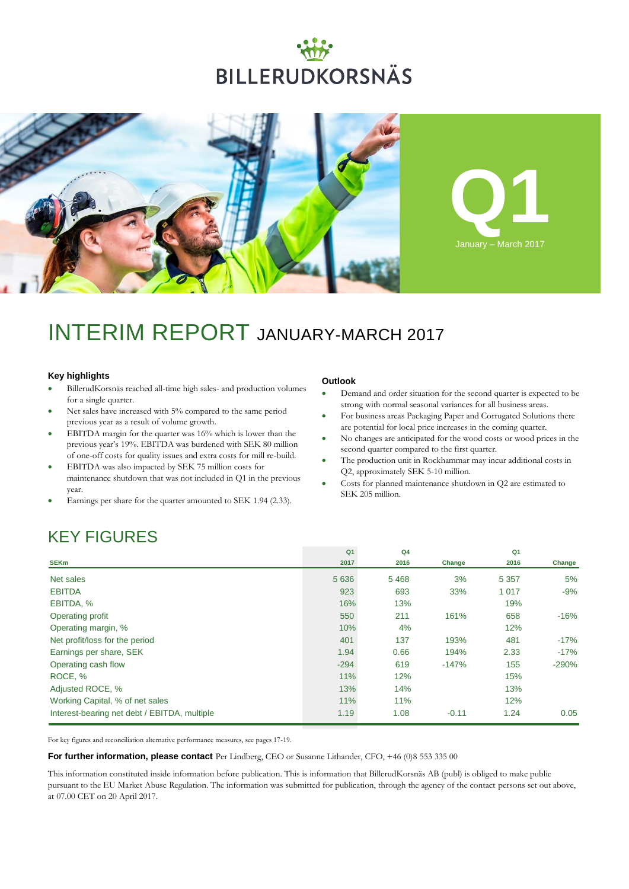# **BILLERUDKORSNÄS**



## INTERIM REPORT JANUARY-MARCH 2017

### **Key highlights**

- BillerudKorsnäs reached all-time high sales- and production volumes for a single quarter.
- Net sales have increased with 5% compared to the same period previous year as a result of volume growth.
- EBITDA margin for the quarter was 16% which is lower than the previous year's 19%. EBITDA was burdened with SEK 80 million of one-off costs for quality issues and extra costs for mill re-build.
- EBITDA was also impacted by SEK 75 million costs for maintenance shutdown that was not included in Q1 in the previous year.
- Earnings per share for the quarter amounted to SEK 1.94 (2.33).

### **Outlook**

- Demand and order situation for the second quarter is expected to be strong with normal seasonal variances for all business areas.
- For business areas Packaging Paper and Corrugated Solutions there are potential for local price increases in the coming quarter.
- No changes are anticipated for the wood costs or wood prices in the second quarter compared to the first quarter.
- The production unit in Rockhammar may incur additional costs in Q2, approximately SEK 5-10 million.
- Costs for planned maintenance shutdown in Q2 are estimated to SEK 205 million.

## KEY FIGURES

|                                              | Q <sub>1</sub> | Q <sub>4</sub> |         | Q <sub>1</sub> |         |
|----------------------------------------------|----------------|----------------|---------|----------------|---------|
| <b>SEKm</b>                                  | 2017           | 2016           | Change  | 2016           | Change  |
| Net sales                                    | 5 6 3 6        | 5468           | 3%      | 5 3 5 7        | 5%      |
| <b>EBITDA</b>                                | 923            | 693            | 33%     | 1 0 1 7        | $-9%$   |
| EBITDA, %                                    | 16%            | 13%            |         | 19%            |         |
| Operating profit                             | 550            | 211            | 161%    | 658            | $-16%$  |
| Operating margin, %                          | 10%            | 4%             |         | 12%            |         |
| Net profit/loss for the period               | 401            | 137            | 193%    | 481            | $-17%$  |
| Earnings per share, SEK                      | 1.94           | 0.66           | 194%    | 2.33           | $-17%$  |
| Operating cash flow                          | $-294$         | 619            | $-147%$ | 155            | $-290%$ |
| ROCE, %                                      | 11%            | 12%            |         | 15%            |         |
| Adjusted ROCE, %                             | 13%            | 14%            |         | 13%            |         |
| Working Capital, % of net sales              | 11%            | 11%            |         | 12%            |         |
| Interest-bearing net debt / EBITDA, multiple | 1.19           | 1.08           | $-0.11$ | 1.24           | 0.05    |

For key figures and reconciliation alternative performance measures, see pages 17-19.

**For further information, please contact** Per Lindberg, CEO or Susanne Lithander, CFO, +46 (0)8 553 335 00

This information constituted inside information before publication. This is information that BillerudKorsnäs AB (publ) is obliged to make public pursuant to the EU Market Abuse Regulation. The information was submitted for publication, through the agency of the contact persons set out above, at 07.00 CET on 20 April 2017.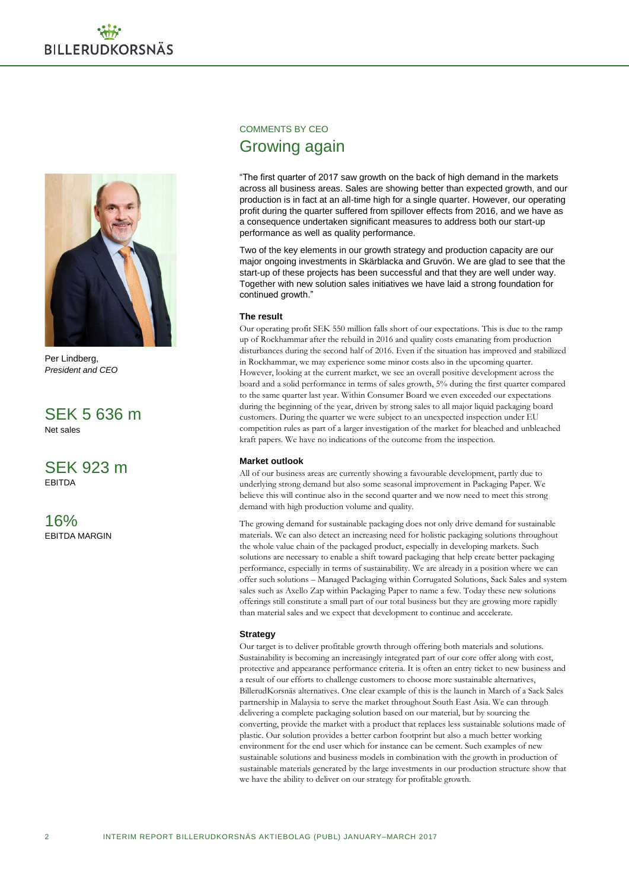

Per Lindberg, *President and CEO*

SEK 5 636 m Net sales

SEK 923 m EBITDA

16% EBITDA MARGIN

### COMMENTS BY CEO Growing again

"The first quarter of 2017 saw growth on the back of high demand in the markets across all business areas. Sales are showing better than expected growth, and our production is in fact at an all-time high for a single quarter. However, our operating profit during the quarter suffered from spillover effects from 2016, and we have as a consequence undertaken significant measures to address both our start-up performance as well as quality performance.

Two of the key elements in our growth strategy and production capacity are our major ongoing investments in Skärblacka and Gruvön. We are glad to see that the start-up of these projects has been successful and that they are well under way. Together with new solution sales initiatives we have laid a strong foundation for continued growth."

### **The result**

Our operating profit SEK 550 million falls short of our expectations. This is due to the ramp up of Rockhammar after the rebuild in 2016 and quality costs emanating from production disturbances during the second half of 2016. Even if the situation has improved and stabilized in Rockhammar, we may experience some minor costs also in the upcoming quarter. However, looking at the current market, we see an overall positive development across the board and a solid performance in terms of sales growth, 5% during the first quarter compared to the same quarter last year. Within Consumer Board we even exceeded our expectations during the beginning of the year, driven by strong sales to all major liquid packaging board customers. During the quarter we were subject to an unexpected inspection under EU competition rules as part of a larger investigation of the market for bleached and unbleached kraft papers. We have no indications of the outcome from the inspection.

### **Market outlook**

All of our business areas are currently showing a favourable development, partly due to underlying strong demand but also some seasonal improvement in Packaging Paper. We believe this will continue also in the second quarter and we now need to meet this strong demand with high production volume and quality.

The growing demand for sustainable packaging does not only drive demand for sustainable materials. We can also detect an increasing need for holistic packaging solutions throughout the whole value chain of the packaged product, especially in developing markets. Such solutions are necessary to enable a shift toward packaging that help create better packaging performance, especially in terms of sustainability. We are already in a position where we can offer such solutions – Managed Packaging within Corrugated Solutions, Sack Sales and system sales such as Axello Zap within Packaging Paper to name a few. Today these new solutions offerings still constitute a small part of our total business but they are growing more rapidly than material sales and we expect that development to continue and accelerate.

### **Strategy**

Our target is to deliver profitable growth through offering both materials and solutions. Sustainability is becoming an increasingly integrated part of our core offer along with cost, protective and appearance performance criteria. It is often an entry ticket to new business and a result of our efforts to challenge customers to choose more sustainable alternatives, BillerudKorsnäs alternatives. One clear example of this is the launch in March of a Sack Sales partnership in Malaysia to serve the market throughout South East Asia. We can through delivering a complete packaging solution based on our material, but by sourcing the converting, provide the market with a product that replaces less sustainable solutions made of plastic. Our solution provides a better carbon footprint but also a much better working environment for the end user which for instance can be cement. Such examples of new sustainable solutions and business models in combination with the growth in production of sustainable materials generated by the large investments in our production structure show that we have the ability to deliver on our strategy for profitable growth.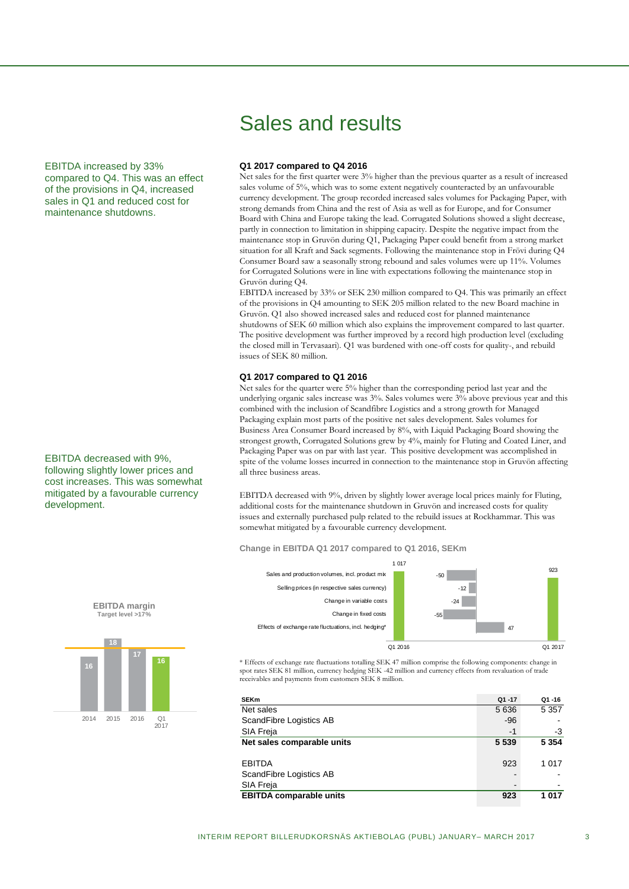EBITDA increased by 33% compared to Q4. This was an effect of the provisions in Q4, increased sales in Q1 and reduced cost for maintenance shutdowns.

EBITDA decreased with 9%, following slightly lower prices and cost increases. This was somewhat mitigated by a favourable currency development.

## Sales and results

### **Q1 2017 compared to Q4 2016**

Net sales for the first quarter were 3% higher than the previous quarter as a result of increased sales volume of 5%, which was to some extent negatively counteracted by an unfavourable currency development. The group recorded increased sales volumes for Packaging Paper, with strong demands from China and the rest of Asia as well as for Europe, and for Consumer Board with China and Europe taking the lead. Corrugated Solutions showed a slight decrease, partly in connection to limitation in shipping capacity. Despite the negative impact from the maintenance stop in Gruvön during Q1, Packaging Paper could benefit from a strong market situation for all Kraft and Sack segments. Following the maintenance stop in Frövi during Q4 Consumer Board saw a seasonally strong rebound and sales volumes were up 11%. Volumes for Corrugated Solutions were in line with expectations following the maintenance stop in Gruvön during Q4.

EBITDA increased by 33% or SEK 230 million compared to Q4. This was primarily an effect of the provisions in Q4 amounting to SEK 205 million related to the new Board machine in Gruvön. Q1 also showed increased sales and reduced cost for planned maintenance shutdowns of SEK 60 million which also explains the improvement compared to last quarter. The positive development was further improved by a record high production level (excluding the closed mill in Tervasaari). Q1 was burdened with one-off costs for quality-, and rebuild issues of SEK 80 million.

### **Q1 2017 compared to Q1 2016**

Net sales for the quarter were 5% higher than the corresponding period last year and the underlying organic sales increase was 3%. Sales volumes were 3% above previous year and this combined with the inclusion of Scandfibre Logistics and a strong growth for Managed Packaging explain most parts of the positive net sales development. Sales volumes for Business Area Consumer Board increased by 8%, with Liquid Packaging Board showing the strongest growth, Corrugated Solutions grew by 4%, mainly for Fluting and Coated Liner, and Packaging Paper was on par with last year. This positive development was accomplished in spite of the volume losses incurred in connection to the maintenance stop in Gruvön affecting all three business areas.

EBITDA decreased with 9%, driven by slightly lower average local prices mainly for Fluting, additional costs for the maintenance shutdown in Gruvön and increased costs for quality issues and externally purchased pulp related to the rebuild issues at Rockhammar. This was somewhat mitigated by a favourable currency development.

**Change in EBITDA Q1 2017 compared to Q1 2016, SEKm**



\* Effects of exchange rate fluctuations totalling SEK 47 million comprise the following components: change in spot rates SEK 81 million, currency hedging SEK -42 million and currency effects from revaluation of trade receivables and payments from customers SEK 8 million.

| <b>SEKm</b>                    | $Q1 - 17$ | Q1-16   |
|--------------------------------|-----------|---------|
| Net sales                      | 5 6 3 6   | 5 3 5 7 |
| ScandFibre Logistics AB        | $-96$     |         |
| SIA Freja                      | -1        | -3      |
| Net sales comparable units     | 5 5 3 9   | 5 3 5 4 |
|                                |           |         |
| <b>EBITDA</b>                  | 923       | 1 0 1 7 |
| ScandFibre Logistics AB        |           |         |
| SIA Freja                      |           |         |
| <b>EBITDA comparable units</b> | 923       | 1 0 1 7 |
|                                |           |         |



**EBITDA margin**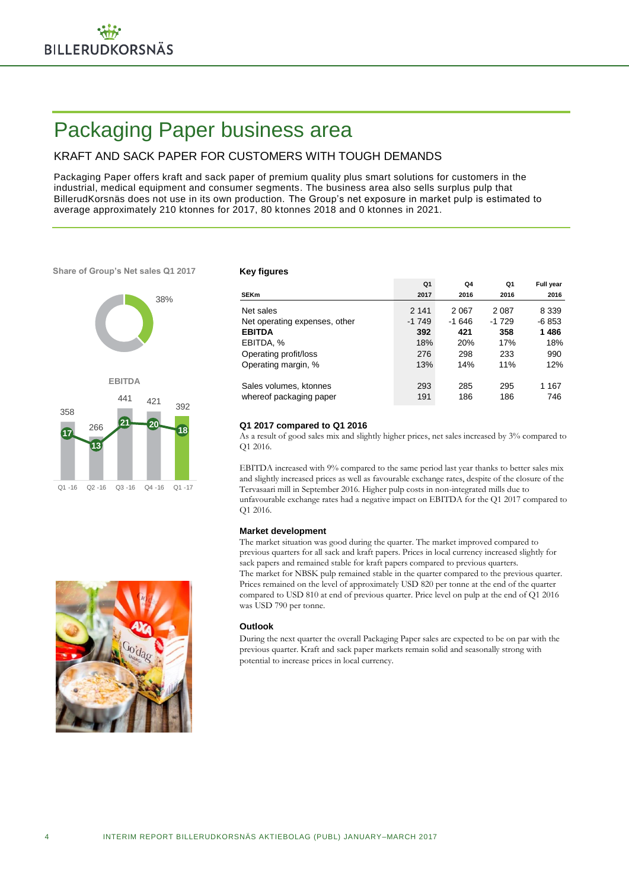## Packaging Paper business area

### KRAFT AND SACK PAPER FOR CUSTOMERS WITH TOUGH DEMANDS

Packaging Paper offers kraft and sack paper of premium quality plus smart solutions for customers in the industrial, medical equipment and consumer segments. The business area also sells surplus pulp that BillerudKorsnäs does not use in its own production. The Group's net exposure in market pulp is estimated to average approximately 210 ktonnes for 2017, 80 ktonnes 2018 and 0 ktonnes in 2021.

**Share of Group's Net sales Q1 2017**



### **Key figures**

|                               | Q1      | Q4      | Q1      | <b>Full year</b> |
|-------------------------------|---------|---------|---------|------------------|
| <b>SEKm</b>                   | 2017    | 2016    | 2016    | 2016             |
| Net sales                     | 2 1 4 1 | 2 0 6 7 | 2 0 8 7 | 8 3 3 9          |
| Net operating expenses, other | $-1749$ | $-1646$ | $-1729$ | $-6853$          |
| <b>EBITDA</b>                 | 392     | 421     | 358     | 1486             |
| EBITDA, %                     | 18%     | 20%     | 17%     | 18%              |
| Operating profit/loss         | 276     | 298     | 233     | 990              |
| Operating margin, %           | 13%     | 14%     | 11%     | 12%              |
|                               |         |         |         |                  |
| Sales volumes, ktonnes        | 293     | 285     | 295     | 1 167            |
| whereof packaging paper       | 191     | 186     | 186     | 746              |

### **Q1 2017 compared to Q1 2016**

As a result of good sales mix and slightly higher prices, net sales increased by 3% compared to Q1 2016.

EBITDA increased with 9% compared to the same period last year thanks to better sales mix and slightly increased prices as well as favourable exchange rates, despite of the closure of the Tervasaari mill in September 2016. Higher pulp costs in non-integrated mills due to unfavourable exchange rates had a negative impact on EBITDA for the Q1 2017 compared to Q1 2016.

### **Market development**

The market situation was good during the quarter. The market improved compared to previous quarters for all sack and kraft papers. Prices in local currency increased slightly for sack papers and remained stable for kraft papers compared to previous quarters. The market for NBSK pulp remained stable in the quarter compared to the previous quarter. Prices remained on the level of approximately USD 820 per tonne at the end of the quarter compared to USD 810 at end of previous quarter. Price level on pulp at the end of Q1 2016 was USD 790 per tonne.

### **Outlook**

During the next quarter the overall Packaging Paper sales are expected to be on par with the previous quarter. Kraft and sack paper markets remain solid and seasonally strong with potential to increase prices in local currency.

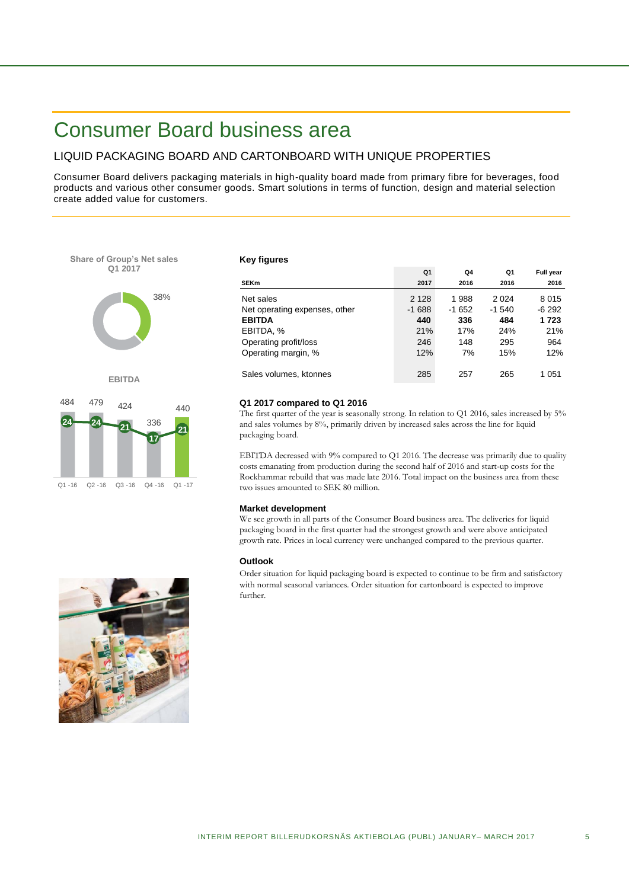## Consumer Board business area

### LIQUID PACKAGING BOARD AND CARTONBOARD WITH UNIQUE PROPERTIES

Consumer Board delivers packaging materials in high-quality board made from primary fibre for beverages, food products and various other consumer goods. Smart solutions in terms of function, design and material selection create added value for customers.



**EBITDA**



### **Key figures**

|                               | Q <sub>1</sub> | Q4      | Q1       | <b>Full year</b> |
|-------------------------------|----------------|---------|----------|------------------|
| <b>SEKm</b>                   | 2017           | 2016    | 2016     | 2016             |
| Net sales                     | 2 1 2 8        | 1988    | 2 0 2 4  | 8015             |
| Net operating expenses, other | $-1688$        | $-1652$ | $-1.540$ | -6 292           |
| <b>EBITDA</b>                 | 440            | 336     | 484      | 1723             |
| EBITDA, %                     | 21%            | 17%     | 24%      | 21%              |
| Operating profit/loss         | 246            | 148     | 295      | 964              |
| Operating margin, %           | 12%            | 7%      | 15%      | 12%              |
|                               |                |         |          |                  |
| Sales volumes, ktonnes        | 285            | 257     | 265      | 1 051            |

### **Q1 2017 compared to Q1 2016**

The first quarter of the year is seasonally strong. In relation to Q1 2016, sales increased by 5% and sales volumes by 8%, primarily driven by increased sales across the line for liquid packaging board.

EBITDA decreased with 9% compared to Q1 2016. The decrease was primarily due to quality costs emanating from production during the second half of 2016 and start-up costs for the Rockhammar rebuild that was made late 2016. Total impact on the business area from these two issues amounted to SEK 80 million.

### **Market development**

We see growth in all parts of the Consumer Board business area. The deliveries for liquid packaging board in the first quarter had the strongest growth and were above anticipated growth rate. Prices in local currency were unchanged compared to the previous quarter.

### **Outlook**

Order situation for liquid packaging board is expected to continue to be firm and satisfactory with normal seasonal variances. Order situation for cartonboard is expected to improve further.

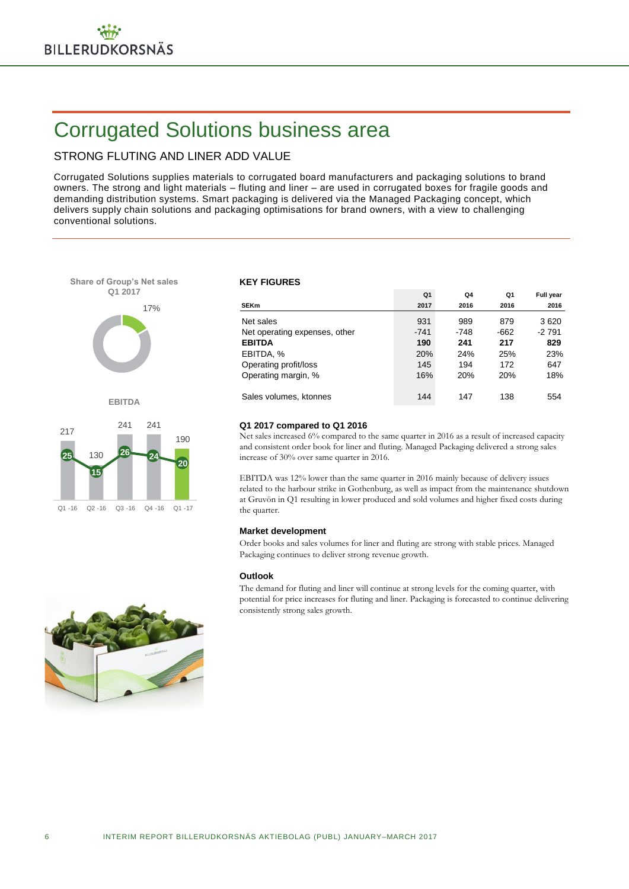## Corrugated Solutions business area

### STRONG FLUTING AND LINER ADD VALUE

Corrugated Solutions supplies materials to corrugated board manufacturers and packaging solutions to brand owners. The strong and light materials – fluting and liner – are used in corrugated boxes for fragile goods and demanding distribution systems. Smart packaging is delivered via the Managed Packaging concept, which delivers supply chain solutions and packaging optimisations for brand owners, with a view to challenging conventional solutions.



### **KEY FIGURES**

|                               | Q1     | Q4         | Q1   | <b>Full year</b> |
|-------------------------------|--------|------------|------|------------------|
| <b>SEKm</b>                   | 2017   | 2016       | 2016 | 2016             |
| Net sales                     | 931    | 989        | 879  | 3620             |
| Net operating expenses, other | $-741$ | -748       | -662 | -2 791           |
| <b>EBITDA</b>                 | 190    | 241        | 217  | 829              |
| EBITDA, %                     | 20%    | 24%        | 25%  | 23%              |
| Operating profit/loss         | 145    | 194        | 172  | 647              |
| Operating margin, %           | 16%    | <b>20%</b> | 20%  | 18%              |
|                               |        |            |      |                  |
| Sales volumes, ktonnes        | 144    | 147        | 138  | 554              |

### **Q1 2017 compared to Q1 2016**

Net sales increased 6% compared to the same quarter in 2016 as a result of increased capacity and consistent order book for liner and fluting. Managed Packaging delivered a strong sales increase of 30% over same quarter in 2016.

EBITDA was 12% lower than the same quarter in 2016 mainly because of delivery issues related to the harbour strike in Gothenburg, as well as impact from the maintenance shutdown at Gruvön in Q1 resulting in lower produced and sold volumes and higher fixed costs during the quarter.

### **Market development**

Order books and sales volumes for liner and fluting are strong with stable prices. Managed Packaging continues to deliver strong revenue growth.

### **Outlook**

The demand for fluting and liner will continue at strong levels for the coming quarter, with potential for price increases for fluting and liner. Packaging is forecasted to continue delivering consistently strong sales growth.

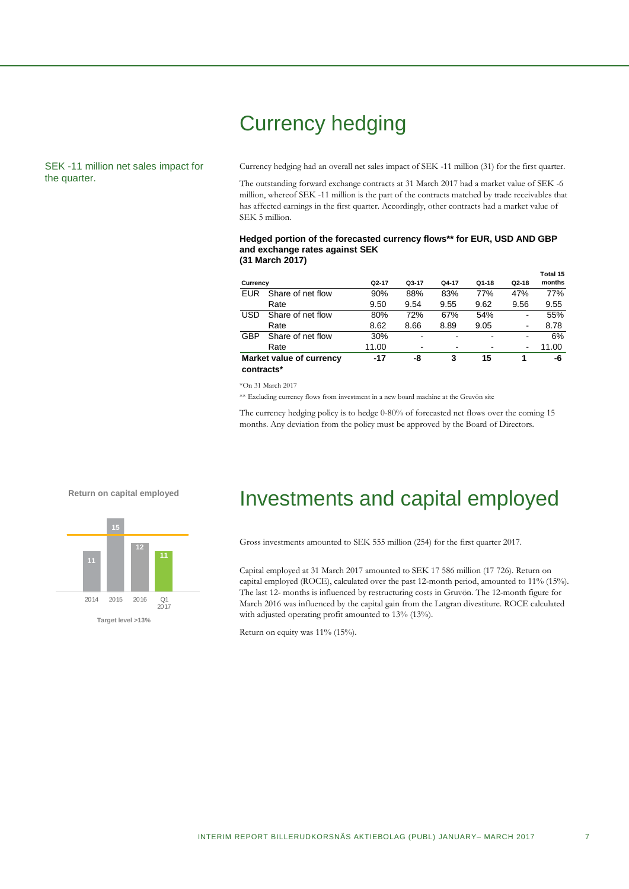## Currency hedging

### SEK -11 million net sales impact for the quarter.

Currency hedging had an overall net sales impact of SEK -11 million (31) for the first quarter.

The outstanding forward exchange contracts at 31 March 2017 had a market value of SEK -6 million, whereof SEK -11 million is the part of the contracts matched by trade receivables that has affected earnings in the first quarter. Accordingly, other contracts had a market value of SEK 5 million.

### **Hedged portion of the forecasted currency flows\*\* for EUR, USD AND GBP and exchange rates against SEK (31 March 2017)**

| Currency   |                          | $Q2-17$ | Q3-17          | Q4-17 | $Q1-18$ | $Q2-18$                      | Total 15<br>months |
|------------|--------------------------|---------|----------------|-------|---------|------------------------------|--------------------|
| EUR        | Share of net flow        | 90%     | 88%            | 83%   | 77%     | 47%                          | 77%                |
|            | Rate                     | 9.50    | 9.54           | 9.55  | 9.62    | 9.56                         | 9.55               |
| <b>USD</b> | Share of net flow        | 80%     | 72%            | 67%   | 54%     | -                            | 55%                |
|            | Rate                     | 8.62    | 8.66           | 8.89  | 9.05    | $\overline{\phantom{a}}$     | 8.78               |
| <b>GBP</b> | Share of net flow        | 30%     | ۰              | ٠     | ٠       | ۰                            | 6%                 |
|            | Rate                     | 11.00   | $\blacksquare$ | ۰     |         | $\qquad \qquad \blacksquare$ | 11.00              |
| contracts* | Market value of currency | $-17$   | -8             | 3     | 15      |                              | -6                 |

\*On 31 March 2017

\*\* Excluding currency flows from investment in a new board machine at the Gruvön site

The currency hedging policy is to hedge 0-80% of forecasted net flows over the coming 15 months. Any deviation from the policy must be approved by the Board of Directors.

### **Return on capital employed**



## Investments and capital employed

Gross investments amounted to SEK 555 million (254) for the first quarter 2017.

Capital employed at 31 March 2017 amounted to SEK 17 586 million (17 726). Return on capital employed (ROCE), calculated over the past 12-month period, amounted to 11% (15%). The last 12- months is influenced by restructuring costs in Gruvön. The 12-month figure for March 2016 was influenced by the capital gain from the Latgran divestiture. ROCE calculated with adjusted operating profit amounted to 13% (13%).

Return on equity was 11% (15%).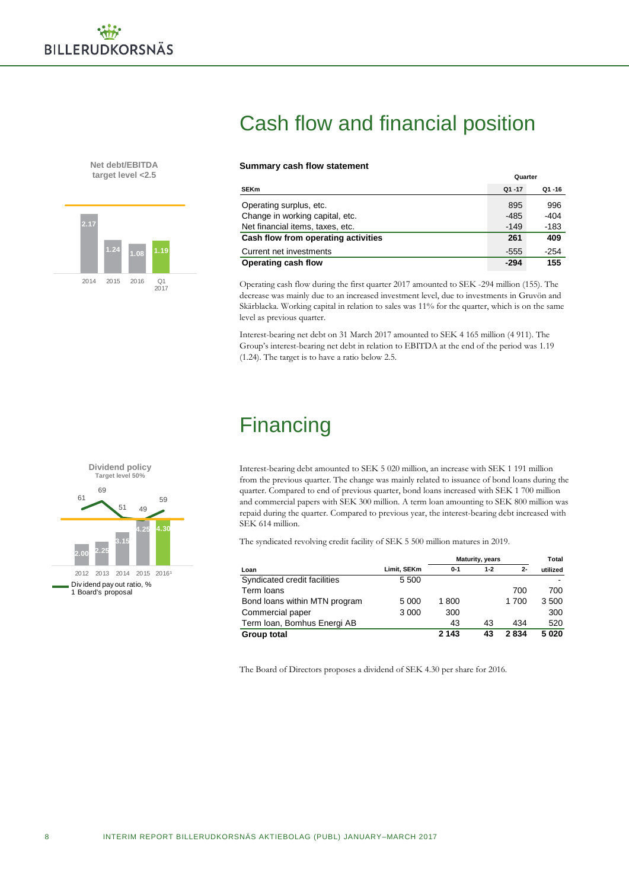**Net debt/EBITDA target level <2.5**



## Cash flow and financial position

### **Summary cash flow statement**

| <b>SEKm</b>                         | $Q1 - 17$ | Q1-16  |
|-------------------------------------|-----------|--------|
| Operating surplus, etc.             | 895       | 996    |
| Change in working capital, etc.     | -485      | -404   |
| Net financial items, taxes, etc.    | $-149$    | -183   |
| Cash flow from operating activities | 261       | 409    |
| Current net investments             | $-555$    | $-254$ |
| Operating cash flow                 | $-294$    | 155    |

**Quarter**

Operating cash flow during the first quarter 2017 amounted to SEK -294 million (155). The decrease was mainly due to an increased investment level, due to investments in Gruvön and Skärblacka. Working capital in relation to sales was 11% for the quarter, which is on the same level as previous quarter.

Interest-bearing net debt on 31 March 2017 amounted to SEK 4 165 million (4 911). The Group's interest-bearing net debt in relation to EBITDA at the end of the period was 1.19 (1.24). The target is to have a ratio below 2.5.

## **Financing**

**Dividend policy Target level 50% 2.00 2.25 3.15 4.25 4.30** 61 69 51 49 59 2012 2013 2014 2015 2016 Div idend pay out ratio, % 1 Board's proposal

Interest-bearing debt amounted to SEK 5 020 million, an increase with SEK 1 191 million from the previous quarter. The change was mainly related to issuance of bond loans during the quarter. Compared to end of previous quarter, bond loans increased with SEK 1 700 million and commercial papers with SEK 300 million. A term loan amounting to SEK 800 million was repaid during the quarter. Compared to previous year, the interest-bearing debt increased with SEK 614 million.

The syndicated revolving credit facility of SEK 5 500 million matures in 2019.

|                               |             | <b>Maturity, years</b> |         |       | Total    |
|-------------------------------|-------------|------------------------|---------|-------|----------|
| Loan                          | Limit, SEKm | $0 - 1$                | $1 - 2$ | $2 -$ | utilized |
| Syndicated credit facilities  | 5 500       |                        |         |       |          |
| Term loans                    |             |                        |         | 700   | 700      |
| Bond loans within MTN program | 5 0 0 0     | 1800                   |         | 1700  | 3500     |
| Commercial paper              | 3 0 0 0     | 300                    |         |       | 300      |
| Term Ioan, Bomhus Energi AB   |             | 43                     | 43      | 434   | 520      |
| Group total                   |             | 2 1 4 3                | 43      | 2834  | 5020     |

The Board of Directors proposes a dividend of SEK 4.30 per share for 2016.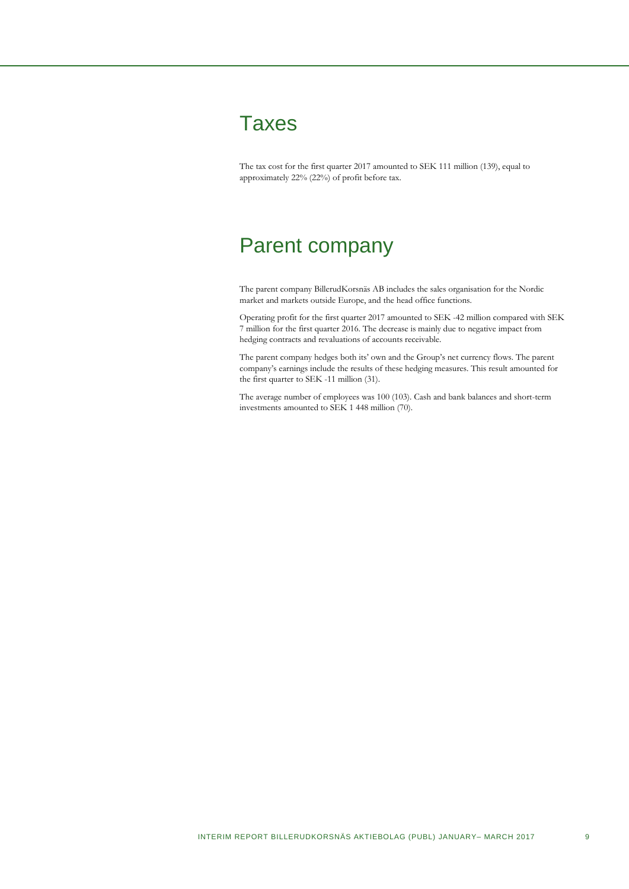

The tax cost for the first quarter 2017 amounted to SEK 111 million (139), equal to approximately 22% (22%) of profit before tax.

## Parent company

The parent company BillerudKorsnäs AB includes the sales organisation for the Nordic market and markets outside Europe, and the head office functions.

Operating profit for the first quarter 2017 amounted to SEK -42 million compared with SEK 7 million for the first quarter 2016. The decrease is mainly due to negative impact from hedging contracts and revaluations of accounts receivable.

The parent company hedges both its' own and the Group's net currency flows. The parent company's earnings include the results of these hedging measures. This result amounted for the first quarter to SEK -11 million (31).

The average number of employees was 100 (103). Cash and bank balances and short-term investments amounted to SEK 1 448 million (70).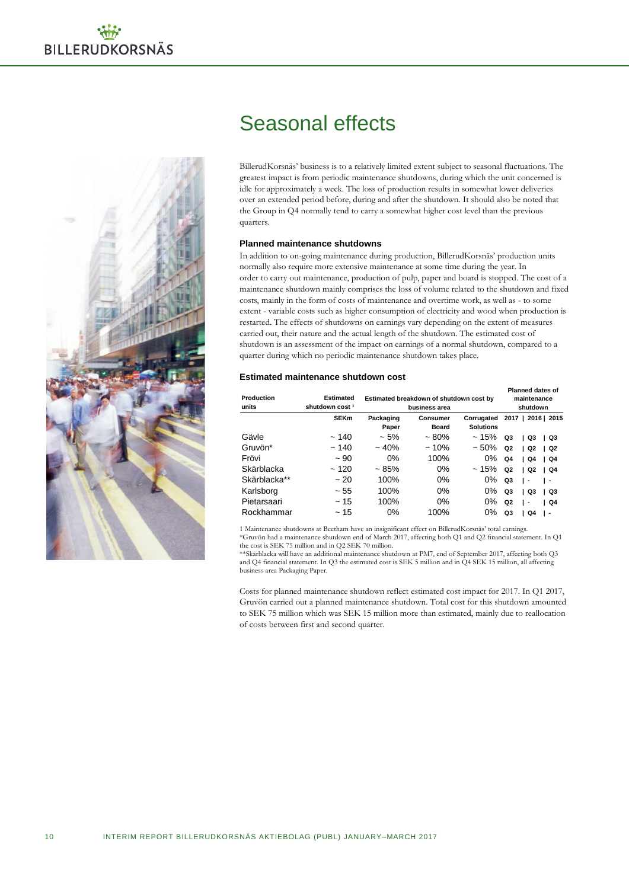

## Seasonal effects

BillerudKorsnäs' business is to a relatively limited extent subject to seasonal fluctuations. The greatest impact is from periodic maintenance shutdowns, during which the unit concerned is idle for approximately a week. The loss of production results in somewhat lower deliveries over an extended period before, during and after the shutdown. It should also be noted that the Group in Q4 normally tend to carry a somewhat higher cost level than the previous quarters.

### **Planned maintenance shutdowns**

In addition to on-going maintenance during production, BillerudKorsnäs' production units normally also require more extensive maintenance at some time during the year. In order to carry out maintenance, production of pulp, paper and board is stopped. The cost of a maintenance shutdown mainly comprises the loss of volume related to the shutdown and fixed costs, mainly in the form of costs of maintenance and overtime work, as well as - to some extent - variable costs such as higher consumption of electricity and wood when production is restarted. The effects of shutdowns on earnings vary depending on the extent of measures carried out, their nature and the actual length of the shutdown. The estimated cost of shutdown is an assessment of the impact on earnings of a normal shutdown, compared to a quarter during which no periodic maintenance shutdown takes place.

### **Estimated maintenance shutdown cost**

| Production<br>units | <b>Estimated</b><br>shutdown cost <sup>1</sup> | Estimated breakdown of shutdown cost by<br>business area |                          |                                | <b>Planned dates of</b><br>maintenance<br>shutdown       |
|---------------------|------------------------------------------------|----------------------------------------------------------|--------------------------|--------------------------------|----------------------------------------------------------|
|                     | <b>SEKm</b>                                    | Packaging<br>Paper                                       | Consumer<br><b>Board</b> | Corrugated<br><b>Solutions</b> | 2017   2016   2015                                       |
| Gävle               | ~140                                           | $~1.5\%$                                                 | $~1.80\%$                | ~15%                           | Q3<br>Q3<br>  Q3                                         |
| Gruvön*             | ~140                                           | $~10\%$                                                  | $~10\%$                  | $~10\%$                        | Q2<br>Q2<br>l Q2                                         |
| Frövi               | ~100                                           | $0\%$                                                    | 100%                     | $0\%$                          | Q <sub>4</sub><br>Q4<br>$\overline{)$ Q4                 |
| Skärblacka          | ~120                                           | ~1.85%                                                   | $0\%$                    | ~15%                           | Q2<br>Q2<br>$\overline{)$ Q4<br>$\mathbf{L}$             |
| Skärblacka**        | ~20                                            | 100%                                                     | $0\%$                    | 0%                             | Q3<br>$\mathsf{L}$<br>. .                                |
| Karlsborg           | ~55                                            | 100%                                                     | 0%                       | 0%                             | Q3<br>Q3<br>  Q3<br>$\mathbf{L}$                         |
| Pietarsaari         | ~15                                            | 100%                                                     | $0\%$                    | $0\%$                          | Q2<br>$\overline{)$ Q4<br>$\overline{\phantom{a}}$<br>л. |
| Rockhammar          | ~15                                            | 0%                                                       | 100%                     | 0%                             | Q3<br>Q4<br>٠                                            |

1 Maintenance shutdowns at Beetham have an insignificant effect on BillerudKorsnäs' total earnings. \*Gruvön had a maintenance shutdown end of March 2017, affecting both Q1 and Q2 financial statement. In Q1 the cost is SEK 75 million and in Q2 SEK 70 million.

\*\*Skärblacka will have an additional maintenance shutdown at PM7, end of September 2017, affecting both Q3 and Q4 financial statement. In Q3 the estimated cost is SEK 5 million and in Q4 SEK 15 million, all affecting business area Packaging Paper.

Costs for planned maintenance shutdown reflect estimated cost impact for 2017. In Q1 2017, Gruvön carried out a planned maintenance shutdown. Total cost for this shutdown amounted to SEK 75 million which was SEK 15 million more than estimated, mainly due to reallocation of costs between first and second quarter.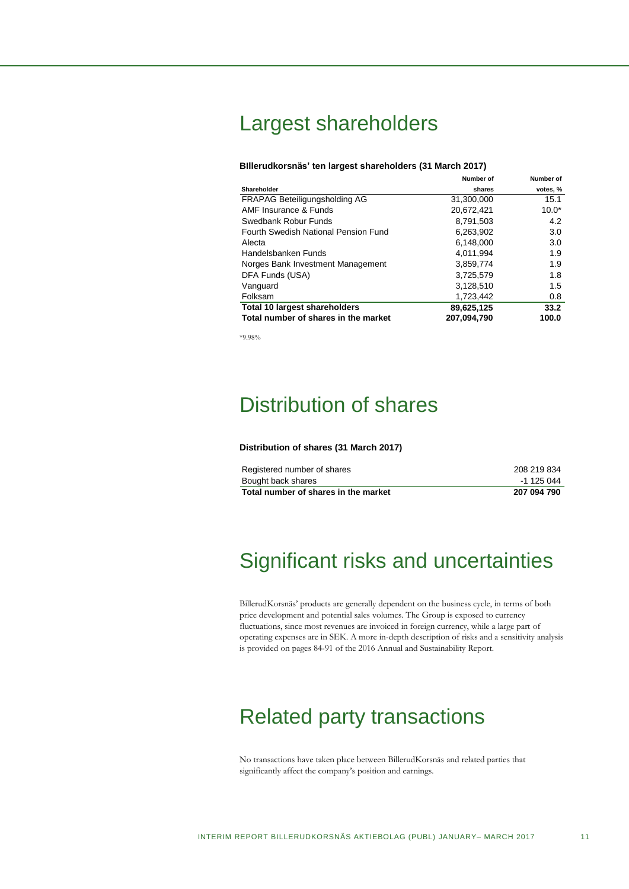## Largest shareholders

### **BIllerudkorsnäs' ten largest shareholders (31 March 2017)**

|                                      | Number of   | Number of |
|--------------------------------------|-------------|-----------|
| Shareholder                          | shares      | votes, %  |
| FRAPAG Beteiligungsholding AG        | 31,300,000  | 15.1      |
| AMF Insurance & Funds                | 20.672.421  | $10.0*$   |
| Swedbank Robur Funds                 | 8,791,503   | 4.2       |
| Fourth Swedish National Pension Fund | 6,263,902   | 3.0       |
| Alecta                               | 6.148.000   | 3.0       |
| Handelsbanken Funds                  | 4.011.994   | 1.9       |
| Norges Bank Investment Management    | 3.859.774   | 1.9       |
| DFA Funds (USA)                      | 3,725,579   | 1.8       |
| Vanguard                             | 3,128,510   | 1.5       |
| Folksam                              | 1,723,442   | 0.8       |
| <b>Total 10 largest shareholders</b> | 89,625,125  | 33.2      |
| Total number of shares in the market | 207.094.790 | 100.0     |

\*9.98%

## Distribution of shares

#### **Distribution of shares (31 March 2017)**

| Total number of shares in the market | 207 094 790 |
|--------------------------------------|-------------|
| Bought back shares                   | -1 125 044  |
| Registered number of shares          | 208 219 834 |

## Significant risks and uncertainties

BillerudKorsnäs' products are generally dependent on the business cycle, in terms of both price development and potential sales volumes. The Group is exposed to currency fluctuations, since most revenues are invoiced in foreign currency, while a large part of operating expenses are in SEK. A more in-depth description of risks and a sensitivity analysis is provided on pages 84-91 of the 2016 Annual and Sustainability Report.

## Related party transactions

No transactions have taken place between BillerudKorsnäs and related parties that significantly affect the company's position and earnings.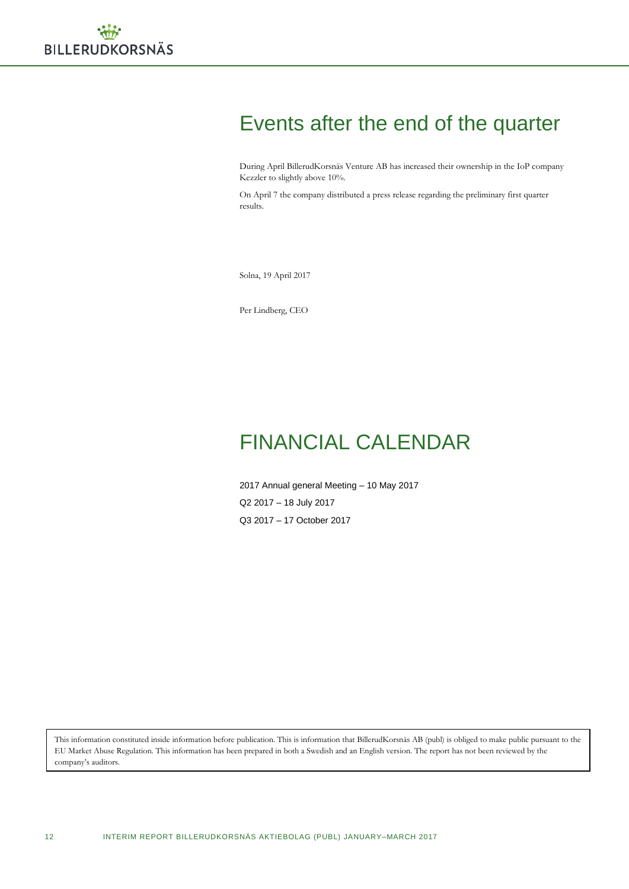## Events after the end of the quarter

During April BillerudKorsnäs Venture AB has increased their ownership in the IoP company Kezzler to slightly above 10%.

On April 7 the company distributed a press release regarding the preliminary first quarter results.

Solna, 19 April 2017

Per Lindberg, CEO

## FINANCIAL CALENDAR

2017 Annual general Meeting – 10 May 2017 Q2 2017 – 18 July 2017 Q3 2017 – 17 October 2017

This information constituted inside information before publication. This is information that BillerudKorsnäs AB (publ) is obliged to make public pursuant to the EU Market Abuse Regulation. This information has been prepared in both a Swedish and an English version. The report has not been reviewed by the company's auditors.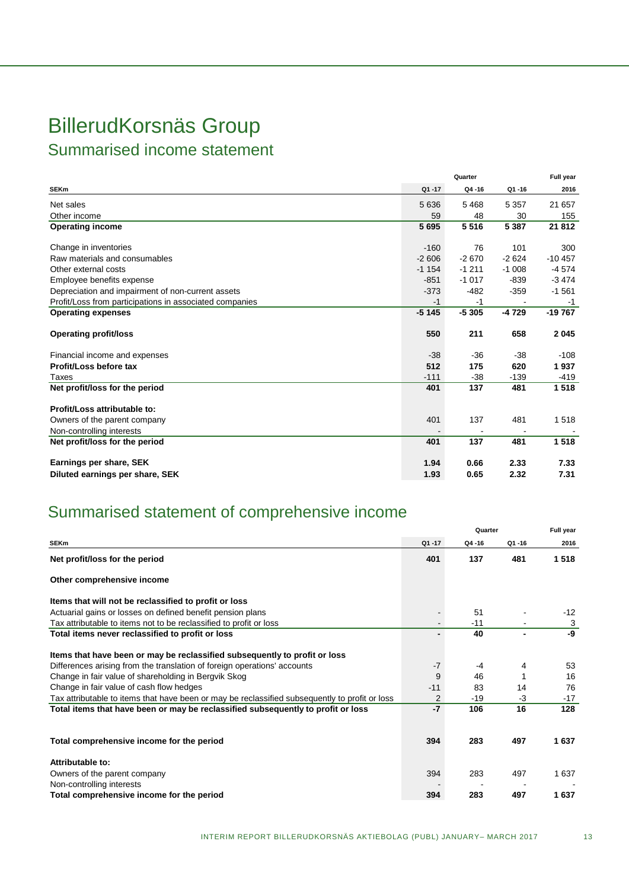## BillerudKorsnäs Group

Summarised income statement

|                                                         |         | Quarter |         | Full year |
|---------------------------------------------------------|---------|---------|---------|-----------|
| <b>SEKm</b>                                             | Q1-17   | Q4-16   | Q1-16   | 2016      |
| Net sales                                               | 5636    | 5468    | 5 3 5 7 | 21 657    |
| Other income                                            | 59      | 48      | 30      | 155       |
| <b>Operating income</b>                                 | 5695    | 5516    | 5 3 8 7 | 21 812    |
| Change in inventories                                   | $-160$  | 76      | 101     | 300       |
| Raw materials and consumables                           | $-2606$ | $-2670$ | $-2624$ | $-10457$  |
| Other external costs                                    | $-1154$ | $-1211$ | $-1008$ | $-4574$   |
| Employee benefits expense                               | $-851$  | $-1017$ | $-839$  | $-3474$   |
| Depreciation and impairment of non-current assets       | $-373$  | $-482$  | $-359$  | $-1561$   |
| Profit/Loss from participations in associated companies | $-1$    | -1      |         | $-1$      |
| <b>Operating expenses</b>                               | $-5145$ | $-5305$ | $-4729$ | $-19767$  |
| <b>Operating profit/loss</b>                            | 550     | 211     | 658     | 2045      |
| Financial income and expenses                           | $-38$   | $-36$   | $-38$   | $-108$    |
| Profit/Loss before tax                                  | 512     | 175     | 620     | 1937      |
| Taxes                                                   | $-111$  | $-38$   | $-139$  | $-419$    |
| Net profit/loss for the period                          | 401     | 137     | 481     | 1518      |
| Profit/Loss attributable to:                            |         |         |         |           |
| Owners of the parent company                            | 401     | 137     | 481     | 1518      |
| Non-controlling interests                               |         |         |         |           |
| Net profit/loss for the period                          | 401     | 137     | 481     | 1518      |
| Earnings per share, SEK                                 | 1.94    | 0.66    | 2.33    | 7.33      |
| Diluted earnings per share, SEK                         | 1.93    | 0.65    | 2.32    | 7.31      |

## Summarised statement of comprehensive income

|                                                                                                |       | Quarter |                | Full year |
|------------------------------------------------------------------------------------------------|-------|---------|----------------|-----------|
| <b>SEKm</b>                                                                                    | Q1-17 | Q4-16   | Q1-16          | 2016      |
| Net profit/loss for the period                                                                 | 401   | 137     | 481            | 1518      |
| Other comprehensive income                                                                     |       |         |                |           |
| Items that will not be reclassified to profit or loss                                          |       |         |                |           |
| Actuarial gains or losses on defined benefit pension plans                                     |       | 51      |                | $-12$     |
| Tax attributable to items not to be reclassified to profit or loss                             |       | $-11$   |                | 3         |
| Total items never reclassified to profit or loss                                               |       | 40      | $\blacksquare$ | -9        |
| Items that have been or may be reclassified subsequently to profit or loss                     |       |         |                |           |
| Differences arising from the translation of foreign operations' accounts                       | $-7$  | $-4$    | 4              | 53        |
| Change in fair value of shareholding in Bergvik Skog                                           | 9     | 46      |                | 16        |
| Change in fair value of cash flow hedges                                                       | $-11$ | 83      | 14             | 76        |
| Tax attributable to items that have been or may be reclassified subsequently to profit or loss | 2     | $-19$   | -3             | $-17$     |
| Total items that have been or may be reclassified subsequently to profit or loss               | $-7$  | 106     | 16             | 128       |
| Total comprehensive income for the period                                                      | 394   | 283     | 497            | 1637      |
| Attributable to:                                                                               |       |         |                |           |
| Owners of the parent company                                                                   | 394   | 283     | 497            | 1 637     |
| Non-controlling interests                                                                      |       |         |                |           |
| Total comprehensive income for the period                                                      | 394   | 283     | 497            | 1637      |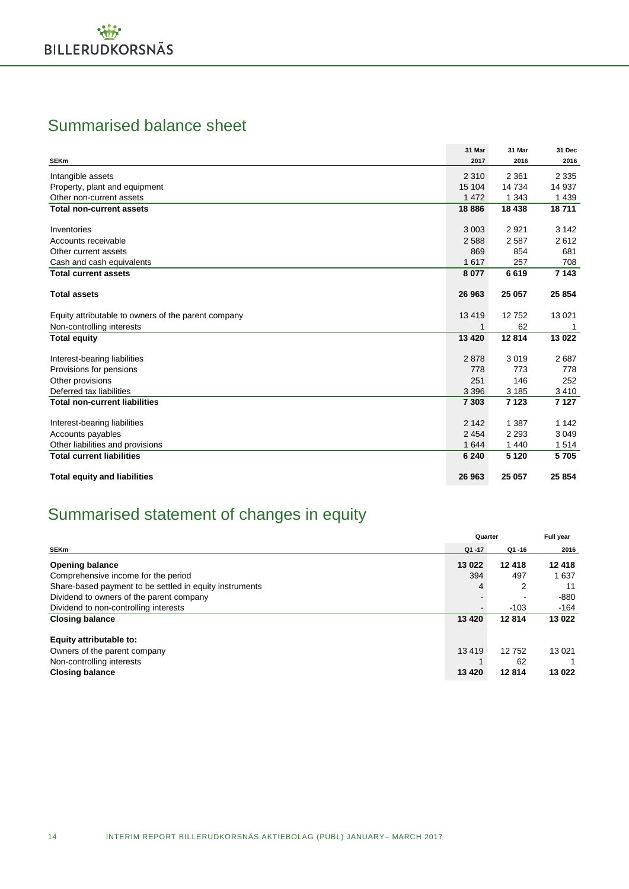## Summarised balance sheet

|                                                     | 31 Mar  | 31 Mar  | 31 Dec  |
|-----------------------------------------------------|---------|---------|---------|
| <b>SEKm</b>                                         | 2017    | 2016    | 2016    |
| Intangible assets                                   | 2 3 1 0 | 2 3 6 1 | 2 3 3 5 |
| Property, plant and equipment                       | 15 104  | 14 734  | 14 937  |
| Other non-current assets                            | 1 4 7 2 | 1 3 4 3 | 1 4 3 9 |
| <b>Total non-current assets</b>                     | 18886   | 18 438  | 18711   |
| Inventories                                         | 3 0 0 3 | 2921    | 3 1 4 2 |
| Accounts receivable                                 | 2588    | 2 5 8 7 | 2612    |
| Other current assets                                | 869     | 854     | 681     |
| Cash and cash equivalents                           | 1617    | 257     | 708     |
| <b>Total current assets</b>                         | 8077    | 6619    | 7 1 4 3 |
|                                                     |         |         |         |
| <b>Total assets</b>                                 | 26 963  | 25 057  | 25 854  |
| Equity attributable to owners of the parent company | 13419   | 12752   | 13 0 21 |
| Non-controlling interests                           |         | 62      | 1       |
| <b>Total equity</b>                                 | 13 4 20 | 12814   | 13 022  |
| Interest-bearing liabilities                        | 2878    | 3019    | 2687    |
| Provisions for pensions                             | 778     | 773     | 778     |
| Other provisions                                    | 251     | 146     | 252     |
| Deferred tax liabilities                            | 3 3 9 6 | 3 1 8 5 | 3 4 1 0 |
| <b>Total non-current liabilities</b>                | 7 3 0 3 | 7 1 2 3 | 7 1 2 7 |
| Interest-bearing liabilities                        | 2 1 4 2 | 1 3 8 7 | 1 1 4 2 |
| Accounts payables                                   | 2 4 5 4 | 2 2 9 3 | 3 0 4 9 |
| Other liabilities and provisions                    | 1 6 4 4 | 1 4 4 0 | 1514    |
| <b>Total current liabilities</b>                    | 6 2 4 0 | 5 1 2 0 | 5705    |
| <b>Total equity and liabilities</b>                 | 26 963  | 25 057  | 25 854  |

## Summarised statement of changes in equity

|                                                                                                                |                    | Quarter              |                   |
|----------------------------------------------------------------------------------------------------------------|--------------------|----------------------|-------------------|
| <b>SEKm</b>                                                                                                    | $Q1 - 17$          | Q1-16                | 2016              |
| <b>Opening balance</b>                                                                                         | 13 022             | 12418                | 12 418            |
| Comprehensive income for the period                                                                            | 394                | 497                  | 1 637             |
| Share-based payment to be settled in equity instruments                                                        | 4                  | 2                    | 11                |
| Dividend to owners of the parent company                                                                       |                    |                      | -880              |
| Dividend to non-controlling interests                                                                          |                    | $-103$               | $-164$            |
| <b>Closing balance</b>                                                                                         | 13 4 20            | 12814                | 13 022            |
| Equity attributable to:<br>Owners of the parent company<br>Non-controlling interests<br><b>Closing balance</b> | 13 4 19<br>13 4 20 | 12752<br>62<br>12814 | 13 0 21<br>13 022 |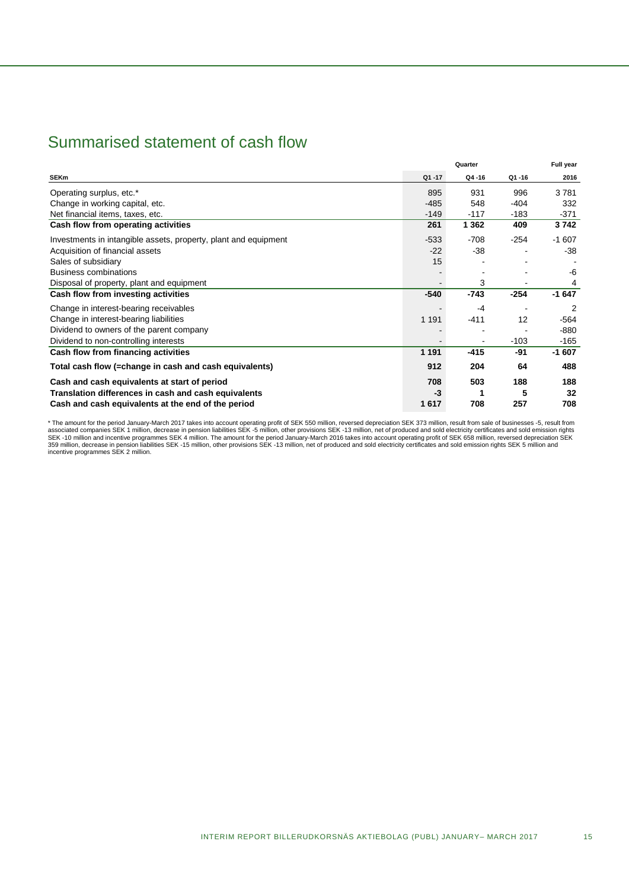## Summarised statement of cash flow

|                                                                 |           | Full year |           |         |
|-----------------------------------------------------------------|-----------|-----------|-----------|---------|
| <b>SEKm</b>                                                     | $Q1 - 17$ | Q4-16     | $Q1 - 16$ | 2016    |
| Operating surplus, etc.*                                        | 895       | 931       | 996       | 3781    |
| Change in working capital, etc.                                 | $-485$    | 548       | $-404$    | 332     |
| Net financial items, taxes, etc.                                | $-149$    | $-117$    | $-183$    | -371    |
| Cash flow from operating activities                             | 261       | 1 3 6 2   | 409       | 3742    |
| Investments in intangible assets, property, plant and equipment | $-533$    | $-708$    | $-254$    | $-1607$ |
| Acquisition of financial assets                                 | $-22$     | $-38$     |           | -38     |
| Sales of subsidiary                                             | 15        |           |           |         |
| <b>Business combinations</b>                                    |           |           |           | -6      |
| Disposal of property, plant and equipment                       |           | 3         |           |         |
| Cash flow from investing activities                             | $-540$    | $-743$    | $-254$    | $-1647$ |
| Change in interest-bearing receivables                          |           | $-4$      |           | 2       |
| Change in interest-bearing liabilities                          | 1 1 9 1   | $-411$    | 12        | $-564$  |
| Dividend to owners of the parent company                        |           |           |           | -880    |
| Dividend to non-controlling interests                           |           |           | $-103$    | -165    |
| Cash flow from financing activities                             | 1 1 9 1   | $-415$    | -91       | $-1607$ |
| Total cash flow (=change in cash and cash equivalents)          | 912       | 204       | 64        | 488     |
| Cash and cash equivalents at start of period                    | 708       | 503       | 188       | 188     |
| Translation differences in cash and cash equivalents            | $-3$      |           | 5         | 32      |
| Cash and cash equivalents at the end of the period              | 1617      | 708       | 257       | 708     |

\* The amount for the period January-March 2017 takes into account operating profit of SEK 550 million, reversed depreciation SEK 373 million, result from sale of businesses -5, result from<br>SES -10 million and incentive pro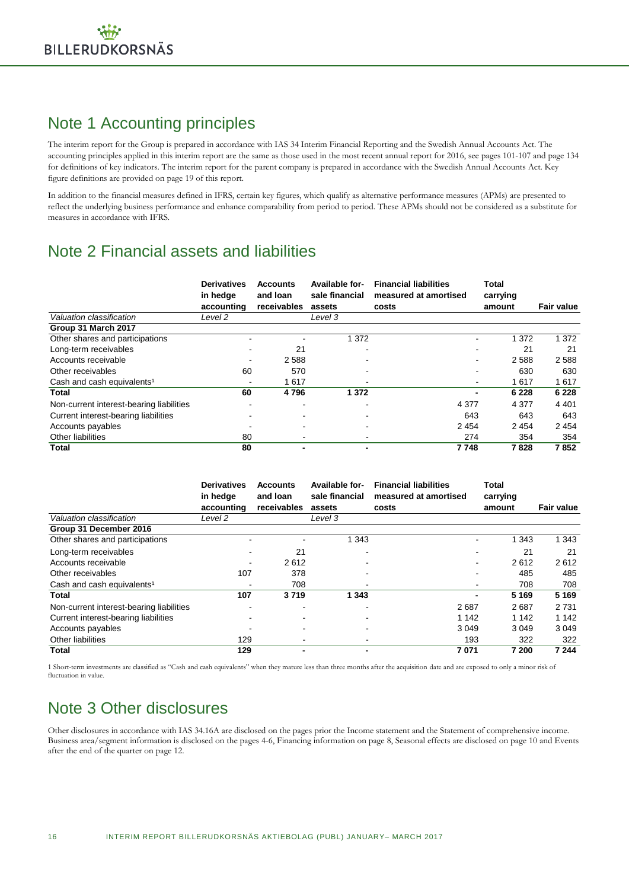## Note 1 Accounting principles

The interim report for the Group is prepared in accordance with IAS 34 Interim Financial Reporting and the Swedish Annual Accounts Act. The accounting principles applied in this interim report are the same as those used in the most recent annual report for 2016, see pages 101-107 and page 134 for definitions of key indicators. The interim report for the parent company is prepared in accordance with the Swedish Annual Accounts Act. Key figure definitions are provided on page 19 of this report.

In addition to the financial measures defined in IFRS, certain key figures, which qualify as alternative performance measures (APMs) are presented to reflect the underlying business performance and enhance comparability from period to period. These APMs should not be considered as a substitute for measures in accordance with IFRS.

## Note 2 Financial assets and liabilities

|                                          | <b>Derivatives</b><br>in hedge<br>accounting | <b>Accounts</b><br>and loan<br>receivables | <b>Available for-</b><br>sale financial<br>assets | <b>Financial liabilities</b><br>measured at amortised<br>costs | Total<br>carrying<br>amount | <b>Fair value</b> |
|------------------------------------------|----------------------------------------------|--------------------------------------------|---------------------------------------------------|----------------------------------------------------------------|-----------------------------|-------------------|
| Valuation classification                 | Level 2                                      |                                            | Level 3                                           |                                                                |                             |                   |
| Group 31 March 2017                      |                                              |                                            |                                                   |                                                                |                             |                   |
| Other shares and participations          |                                              |                                            | 1 372                                             |                                                                | 1 372                       | 1 3 7 2           |
| Long-term receivables                    |                                              | 21                                         |                                                   |                                                                | 21                          | 21                |
| Accounts receivable                      |                                              | 2588                                       |                                                   |                                                                | 2588                        | 2588              |
| Other receivables                        | 60                                           | 570                                        |                                                   |                                                                | 630                         | 630               |
| Cash and cash equivalents <sup>1</sup>   | -                                            | 1617                                       |                                                   |                                                                | 1617                        | 1617              |
| Total                                    | 60                                           | 4796                                       | 1 3 7 2                                           |                                                                | 6 2 2 8<br>-                | 6 2 2 8           |
| Non-current interest-bearing liabilities |                                              |                                            |                                                   | 4 3 7 7                                                        | 4 3 7 7                     | 4 4 0 1           |
| Current interest-bearing liabilities     |                                              |                                            |                                                   | 643                                                            | 643                         | 643               |
| Accounts payables                        |                                              |                                            |                                                   | 2 4 5 4                                                        | 2454                        | 2454              |
| Other liabilities                        | 80                                           |                                            |                                                   | 274                                                            | 354                         | 354               |
| Total                                    | 80                                           |                                            | $\blacksquare$                                    | 7748                                                           | 7828                        | 7852              |

|                                          | <b>Derivatives</b><br>in hedge | <b>Accounts</b><br>and loan | Available for-<br>sale financial | <b>Financial liabilities</b><br>measured at amortised | <b>Total</b><br>carrying |            |
|------------------------------------------|--------------------------------|-----------------------------|----------------------------------|-------------------------------------------------------|--------------------------|------------|
|                                          | accounting                     | receivables                 | assets                           | costs                                                 | amount                   | Fair value |
| Valuation classification                 | Level 2                        |                             | Level 3                          |                                                       |                          |            |
| Group 31 December 2016                   |                                |                             |                                  |                                                       |                          |            |
| Other shares and participations          |                                |                             | 1 3 4 3                          |                                                       | 1 3 4 3                  | 1 3 4 3    |
| Long-term receivables                    | ۰                              | 21                          |                                  |                                                       | 21                       | 21         |
| Accounts receivable                      | ٠                              | 2612                        |                                  |                                                       | 2612                     | 2612       |
| Other receivables                        | 107                            | 378                         |                                  |                                                       | 485                      | 485        |
| Cash and cash equivalents <sup>1</sup>   | -                              | 708                         |                                  |                                                       | 708                      | 708        |
| Total                                    | 107                            | 3719                        | 1 3 4 3                          |                                                       | 5 1 6 9                  | 5 1 6 9    |
| Non-current interest-bearing liabilities |                                |                             |                                  | 2687                                                  | 2687                     | 2 7 3 1    |
| Current interest-bearing liabilities     |                                |                             |                                  | 1 1 4 2                                               | 1 1 4 2                  | 1 1 4 2    |
| Accounts payables                        |                                |                             |                                  | 3 0 4 9                                               | 3 0 4 9                  | 3 0 4 9    |
| Other liabilities                        | 129                            |                             |                                  | 193                                                   | 322                      | 322        |
| Total                                    | 129                            |                             | $\blacksquare$                   | 7071                                                  | 7 200                    | 7 2 4 4    |

1 Short-term investments are classified as "Cash and cash equivalents" when they mature less than three months after the acquisition date and are exposed to only a minor risk of fluctuation in value.

## Note 3 Other disclosures

Other disclosures in accordance with IAS 34.16A are disclosed on the pages prior the Income statement and the Statement of comprehensive income. Business area/segment information is disclosed on the pages 4-6, Financing information on page 8, Seasonal effects are disclosed on page 10 and Events after the end of the quarter on page 12.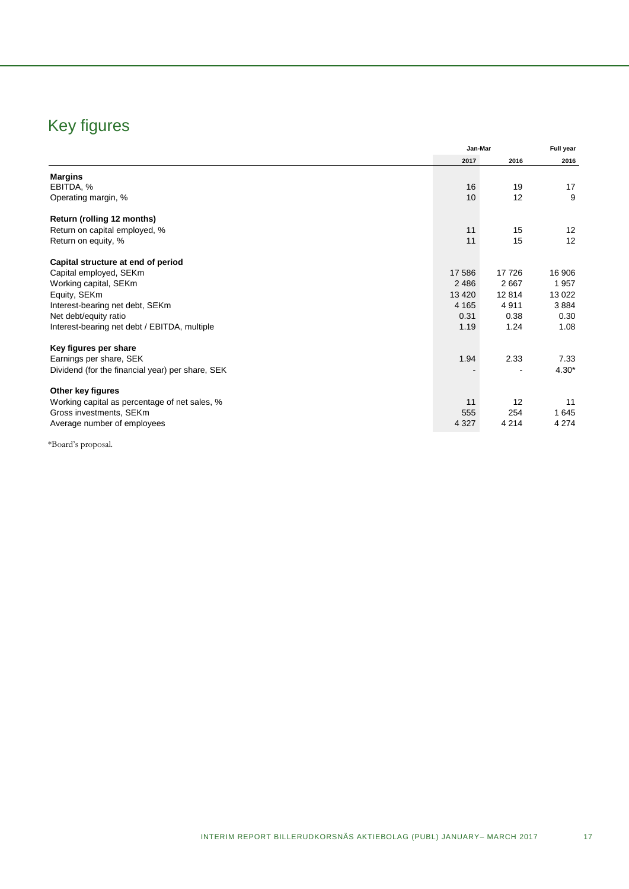## Key figures

|                                                  | Jan-Mar |         | Full year |
|--------------------------------------------------|---------|---------|-----------|
|                                                  | 2017    | 2016    | 2016      |
| <b>Margins</b>                                   |         |         |           |
| EBITDA, %                                        | 16      | 19      | 17        |
| Operating margin, %                              | 10      | 12      | 9         |
| Return (rolling 12 months)                       |         |         |           |
| Return on capital employed, %                    | 11      | 15      | 12        |
| Return on equity, %                              | 11      | 15      | 12        |
| Capital structure at end of period               |         |         |           |
| Capital employed, SEKm                           | 17 586  | 17726   | 16 906    |
| Working capital, SEKm                            | 2 4 8 6 | 2667    | 1957      |
| Equity, SEKm                                     | 13 4 20 | 12 8 14 | 13 0 22   |
| Interest-bearing net debt, SEKm                  | 4 1 6 5 | 4911    | 3884      |
| Net debt/equity ratio                            | 0.31    | 0.38    | 0.30      |
| Interest-bearing net debt / EBITDA, multiple     | 1.19    | 1.24    | 1.08      |
| Key figures per share                            |         |         |           |
| Earnings per share, SEK                          | 1.94    | 2.33    | 7.33      |
| Dividend (for the financial year) per share, SEK |         |         | $4.30*$   |
| Other key figures                                |         |         |           |
| Working capital as percentage of net sales, %    | 11      | 12      | 11        |
| Gross investments, SEKm                          | 555     | 254     | 1 6 4 5   |
| Average number of employees                      | 4 3 2 7 | 4 2 1 4 | 4 2 7 4   |

\*Board's proposal.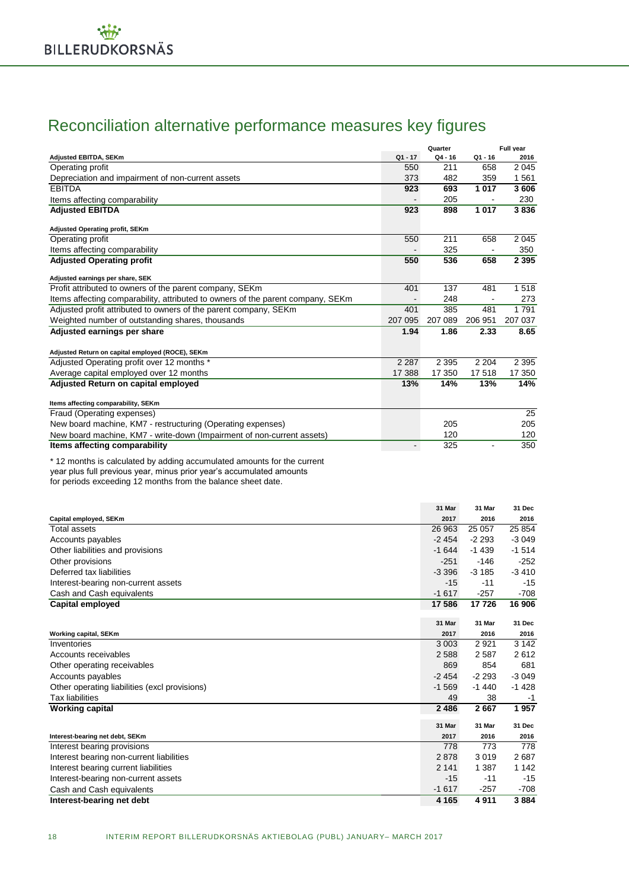## Reconciliation alternative performance measures key figures

|                                                                                 |                          | Quarter   |           | Full year |
|---------------------------------------------------------------------------------|--------------------------|-----------|-----------|-----------|
| Adjusted EBITDA, SEKm                                                           | $Q1 - 17$                | $Q4 - 16$ | $Q1 - 16$ | 2016      |
| Operating profit                                                                | 550                      | 211       | 658       | 2045      |
| Depreciation and impairment of non-current assets                               | 373                      | 482       | 359       | 1561      |
| <b>EBITDA</b>                                                                   | 923                      | 693       | 1017      | 3606      |
| Items affecting comparability                                                   |                          | 205       |           | 230       |
| <b>Adjusted EBITDA</b>                                                          | 923                      | 898       | 1017      | 3836      |
| <b>Adjusted Operating profit, SEKm</b>                                          |                          |           |           |           |
| Operating profit                                                                | 550                      | 211       | 658       | 2 0 4 5   |
| Items affecting comparability                                                   |                          | 325       |           | 350       |
| <b>Adjusted Operating profit</b>                                                | 550                      | 536       | 658       | 2 3 9 5   |
| Adjusted earnings per share, SEK                                                |                          |           |           |           |
| Profit attributed to owners of the parent company, SEKm                         | 401                      | 137       | 481       | 1518      |
| Items affecting comparability, attributed to owners of the parent company, SEKm |                          | 248       |           | 273       |
| Adjusted profit attributed to owners of the parent company, SEKm                | 401                      | 385       | 481       | 1791      |
| Weighted number of outstanding shares, thousands                                | 207 095                  | 207 089   | 206 951   | 207 037   |
| Adjusted earnings per share                                                     | 1.94                     | 1.86      | 2.33      | 8.65      |
| Adjusted Return on capital employed (ROCE), SEKm                                |                          |           |           |           |
| Adjusted Operating profit over 12 months *                                      | 2 2 8 7                  | 2 3 9 5   | 2 2 0 4   | 2 3 9 5   |
| Average capital employed over 12 months                                         | 17 388                   | 17 350    | 17518     | 17 350    |
| Adjusted Return on capital employed                                             | 13%                      | 14%       | 13%       | 14%       |
| Items affecting comparability, SEKm                                             |                          |           |           |           |
| Fraud (Operating expenses)                                                      |                          |           |           | 25        |
| New board machine, KM7 - restructuring (Operating expenses)                     |                          | 205       |           | 205       |
| New board machine, KM7 - write-down (Impairment of non-current assets)          |                          | 120       |           | 120       |
| Items affecting comparability                                                   | $\overline{\phantom{0}}$ | 325       |           | 350       |
| *12 months is calculated by adding accumulated amounts for the current          |                          |           |           |           |

year plus full previous year, minus prior year's accumulated amounts

for periods exceeding 12 months from the balance sheet date.

|                                               | 31 Mar  | 31 Mar  | 31 Dec  |
|-----------------------------------------------|---------|---------|---------|
| Capital employed, SEKm                        | 2017    | 2016    | 2016    |
| Total assets                                  | 26 963  | 25 057  | 25 8 54 |
| Accounts payables                             | $-2454$ | $-2293$ | $-3049$ |
| Other liabilities and provisions              | $-1644$ | $-1439$ | $-1514$ |
| Other provisions                              | $-251$  | $-146$  | $-252$  |
| Deferred tax liabilities                      | $-3396$ | $-3185$ | $-3410$ |
| Interest-bearing non-current assets           | $-15$   | $-11$   | $-15$   |
| Cash and Cash equivalents                     | $-1617$ | $-257$  | $-708$  |
| <b>Capital employed</b>                       | 17 586  | 17726   | 16 906  |
|                                               |         |         |         |
|                                               | 31 Mar  | 31 Mar  | 31 Dec  |
| Working capital, SEKm                         | 2017    | 2016    | 2016    |
| Inventories                                   | 3 0 0 3 | 2921    | 3 1 4 2 |
| Accounts receivables                          | 2588    | 2587    | 2612    |
| Other operating receivables                   | 869     | 854     | 681     |
| Accounts payables                             | $-2454$ | $-2293$ | $-3049$ |
| Other operating liabilities (excl provisions) | $-1569$ | $-1440$ | $-1428$ |
| <b>Tax liabilities</b>                        | 49      | 38      | -1      |
| <b>Working capital</b>                        | 2486    | 2667    | 1957    |
|                                               | 31 Mar  | 31 Mar  | 31 Dec  |
| Interest-bearing net debt, SEKm               | 2017    | 2016    | 2016    |
| Interest bearing provisions                   | 778     | 773     | 778     |
| Interest bearing non-current liabilities      | 2878    | 3019    | 2687    |
| Interest bearing current liabilities          | 2 1 4 1 | 1 3 8 7 | 1 1 4 2 |
| Interest-bearing non-current assets           | $-15$   | $-11$   | $-15$   |
| Cash and Cash equivalents                     | $-1617$ | $-257$  | $-708$  |
| Interest-bearing net debt                     | 4 1 6 5 | 4911    | 3884    |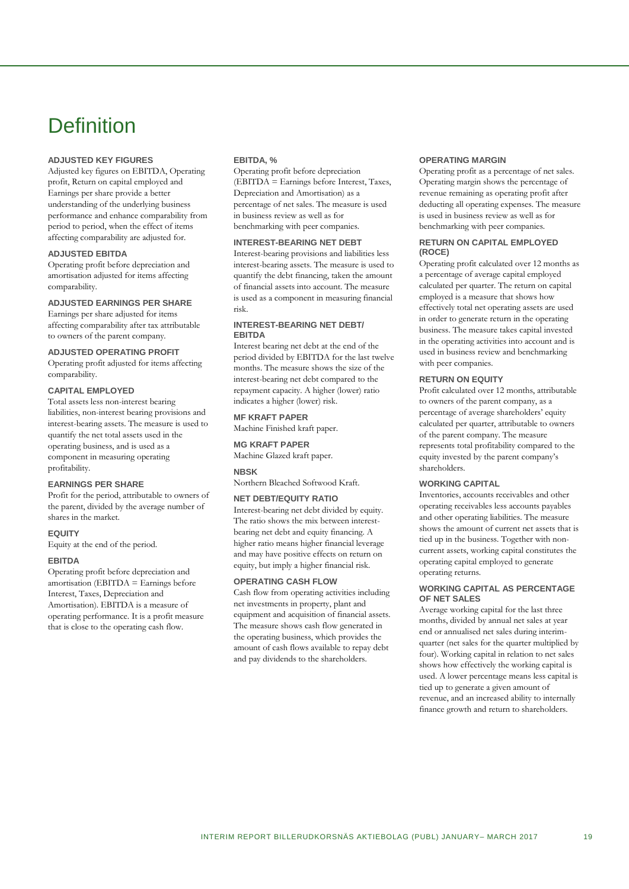## **Definition**

### **ADJUSTED KEY FIGURES**

Adjusted key figures on EBITDA, Operating profit, Return on capital employed and Earnings per share provide a better understanding of the underlying business performance and enhance comparability from period to period, when the effect of items affecting comparability are adjusted for.

### **ADJUSTED EBITDA**

Operating profit before depreciation and amortisation adjusted for items affecting comparability.

### **ADJUSTED EARNINGS PER SHARE**

Earnings per share adjusted for items affecting comparability after tax attributable to owners of the parent company.

### **ADJUSTED OPERATING PROFIT**

Operating profit adjusted for items affecting comparability.

### **CAPITAL EMPLOYED**

Total assets less non-interest bearing liabilities, non-interest bearing provisions and interest-bearing assets. The measure is used to quantify the net total assets used in the operating business, and is used as a component in measuring operating profitability.

### **EARNINGS PER SHARE**

Profit for the period, attributable to owners of the parent, divided by the average number of shares in the market.

### **EQUITY**

Equity at the end of the period.

### **EBITDA**

Operating profit before depreciation and amortisation (EBITDA = Earnings before Interest, Taxes, Depreciation and Amortisation). EBITDA is a measure of operating performance. It is a profit measure that is close to the operating cash flow.

### **EBITDA, %**

Operating profit before depreciation (EBITDA = Earnings before Interest, Taxes, Depreciation and Amortisation) as a percentage of net sales. The measure is used in business review as well as for benchmarking with peer companies.

### **INTEREST-BEARING NET DEBT**

Interest-bearing provisions and liabilities less interest-bearing assets. The measure is used to quantify the debt financing, taken the amount of financial assets into account. The measure is used as a component in measuring financial risk.

### **INTEREST-BEARING NET DEBT/ EBITDA**

Interest bearing net debt at the end of the period divided by EBITDA for the last twelve months. The measure shows the size of the interest-bearing net debt compared to the repayment capacity. A higher (lower) ratio indicates a higher (lower) risk.

**MF KRAFT PAPER**

Machine Finished kraft paper.

**MG KRAFT PAPER** Machine Glazed kraft paper.

### **NBSK**

Northern Bleached Softwood Kraft.

### **NET DEBT/EQUITY RATIO**

Interest-bearing net debt divided by equity. The ratio shows the mix between interestbearing net debt and equity financing. A higher ratio means higher financial leverage and may have positive effects on return on equity, but imply a higher financial risk.

### **OPERATING CASH FLOW**

Cash flow from operating activities including net investments in property, plant and equipment and acquisition of financial assets. The measure shows cash flow generated in the operating business, which provides the amount of cash flows available to repay debt and pay dividends to the shareholders.

### **OPERATING MARGIN**

Operating profit as a percentage of net sales. Operating margin shows the percentage of revenue remaining as operating profit after deducting all operating expenses. The measure is used in business review as well as for benchmarking with peer companies.

### **RETURN ON CAPITAL EMPLOYED (ROCE)**

Operating profit calculated over 12 months as a percentage of average capital employed calculated per quarter. The return on capital employed is a measure that shows how effectively total net operating assets are used in order to generate return in the operating business. The measure takes capital invested in the operating activities into account and is used in business review and benchmarking with peer companies.

### **RETURN ON EQUITY**

Profit calculated over 12 months, attributable to owners of the parent company, as a percentage of average shareholders' equity calculated per quarter, attributable to owners of the parent company. The measure represents total profitability compared to the equity invested by the parent company's shareholders.

### **WORKING CAPITAL**

Inventories, accounts receivables and other operating receivables less accounts payables and other operating liabilities. The measure shows the amount of current net assets that is tied up in the business. Together with noncurrent assets, working capital constitutes the operating capital employed to generate operating returns.

### **WORKING CAPITAL AS PERCENTAGE OF NET SALES**

Average working capital for the last three months, divided by annual net sales at year end or annualised net sales during interimquarter (net sales for the quarter multiplied by four). Working capital in relation to net sales shows how effectively the working capital is used. A lower percentage means less capital is tied up to generate a given amount of revenue, and an increased ability to internally finance growth and return to shareholders.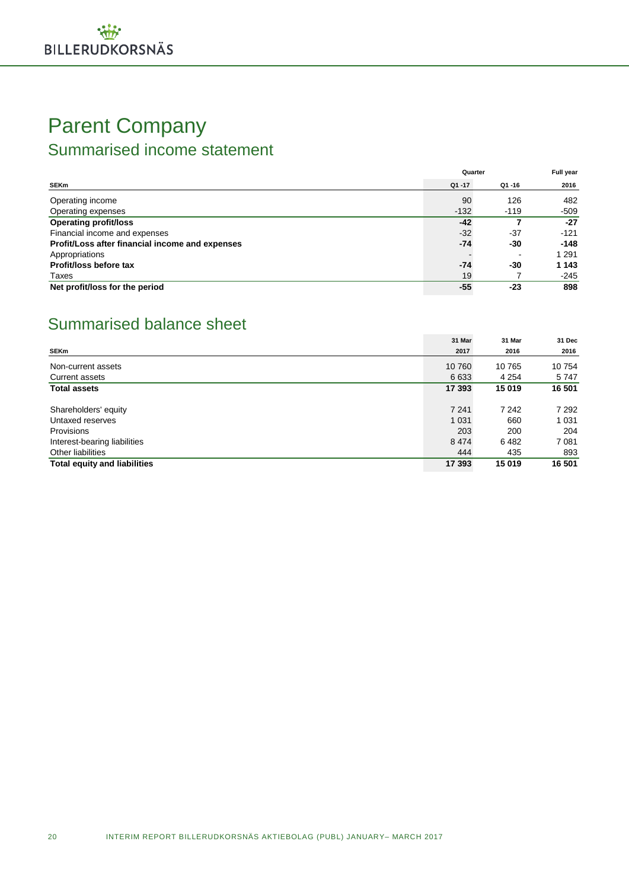## Parent Company Summarised income statement

|                                                 | Quarter   | Full year |         |
|-------------------------------------------------|-----------|-----------|---------|
| <b>SEKm</b>                                     | $Q1 - 17$ | $Q1 - 16$ | 2016    |
| Operating income                                | 90        | 126       | 482     |
| Operating expenses                              | $-132$    | $-119$    | $-509$  |
| <b>Operating profit/loss</b>                    | $-42$     |           | $-27$   |
| Financial income and expenses                   | $-32$     | $-37$     | $-121$  |
| Profit/Loss after financial income and expenses | $-74$     | -30       | $-148$  |
| Appropriations                                  |           |           | 1 2 9 1 |
| Profit/loss before tax                          | $-74$     | -30       | 1 1 4 3 |
| Taxes                                           | 19        |           | $-245$  |
| Net profit/loss for the period                  | $-55$     | -23       | 898     |

## Summarised balance sheet

|                                     | 31 Mar  | 31 Mar  | 31 Dec  |
|-------------------------------------|---------|---------|---------|
| <b>SEKm</b>                         | 2017    | 2016    | 2016    |
| Non-current assets                  | 10 760  | 10765   | 10754   |
| Current assets                      | 6 6 3 3 | 4 2 5 4 | 5747    |
| <b>Total assets</b>                 | 17 393  | 15 019  | 16 501  |
| Shareholders' equity                | 7 2 4 1 | 7 2 4 2 | 7 2 9 2 |
| Untaxed reserves                    | 1 0 3 1 | 660     | 1 0 3 1 |
| Provisions                          | 203     | 200     | 204     |
| Interest-bearing liabilities        | 8474    | 6482    | 7081    |
| Other liabilities                   | 444     | 435     | 893     |
| <b>Total equity and liabilities</b> | 17 393  | 15 019  | 16 501  |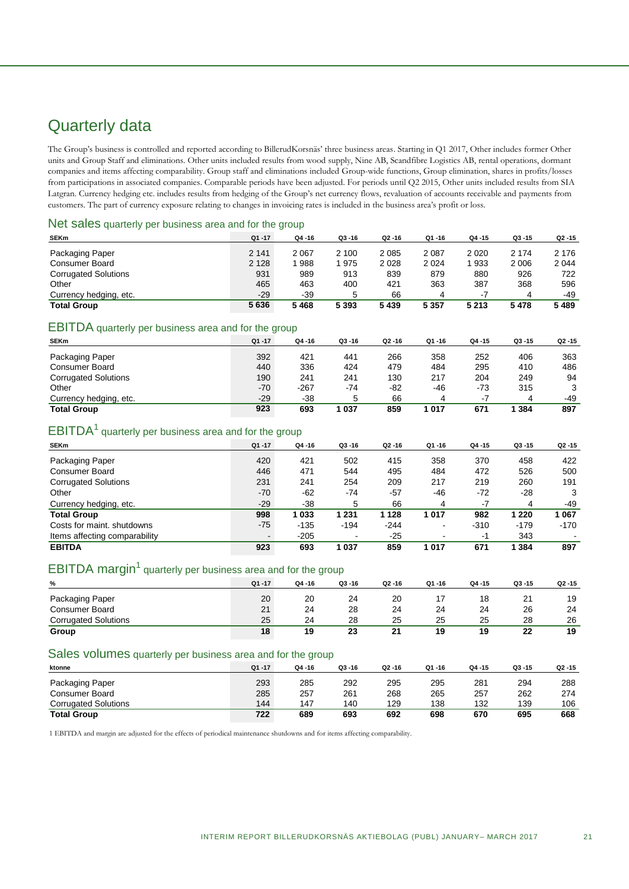## Quarterly data

The Group's business is controlled and reported according to BillerudKorsnäs' three business areas. Starting in Q1 2017, Other includes former Other units and Group Staff and eliminations. Other units included results from wood supply, Nine AB, Scandfibre Logistics AB, rental operations, dormant companies and items affecting comparability. Group staff and eliminations included Group-wide functions, Group elimination, shares in profits/losses from participations in associated companies. Comparable periods have been adjusted. For periods until Q2 2015, Other units included results from SIA Latgran. Currency hedging etc. includes results from hedging of the Group's net currency flows, revaluation of accounts receivable and payments from customers. The part of currency exposure relating to changes in invoicing rates is included in the business area's profit or loss.

### Net sales quarterly per business area and for the group

| $Q1 - 17$ | Q4 -16  | $Q3 - 16$ | $Q2 - 16$ | Q1-16   | Q4 -15  | $Q3 - 15$ | $Q2 - 15$ |
|-----------|---------|-----------|-----------|---------|---------|-----------|-----------|
| 2 1 4 1   | 2 0 6 7 | 2 100     | 2 0 8 5   | 2 0 8 7 | 2020    | 2 1 7 4   | 2 176     |
| 2 1 2 8   | '988    | 1975      | 2 0 2 8   | 2 0 2 4 | 1933    | 2 0 0 6   | 2 0 4 4   |
| 931       | 989     | 913       | 839       | 879     | 880     | 926       | 722       |
| 465       | 463     | 400       | 421       | 363     | 387     | 368       | 596       |
| $-29$     | -39     |           | 66        | 4       | -7      | 4         | -49       |
| 5636      | 5468    | 5 3 9 3   | 5 4 3 9   | 5 3 5 7 | 5 2 1 3 | 5478      | 5489      |
|           |         |           |           |         |         |           |           |

### EBITDA quarterly per business area and for the group

| <b>SEKm</b>                 | $Q1 - 17$ | $Q4 - 16$ | $Q3 - 16$ | $Q2 - 16$ | Q1-16 | Q4 -15 | $Q3 - 15$ | Q2 -15 |
|-----------------------------|-----------|-----------|-----------|-----------|-------|--------|-----------|--------|
| Packaging Paper             | 392       | 421       | 441       | 266       | 358   | 252    | 406       | 363    |
| <b>Consumer Board</b>       | 440       | 336       | 424       | 479       | 484   | 295    | 410       | 486    |
| <b>Corrugated Solutions</b> | 190       | 241       | 241       | 130       | 217   | 204    | 249       | 94     |
| Other                       | $-70$     | $-267$    | -74       | $-82$     | -46   | -73    | 315       |        |
| Currency hedging, etc.      | $-29$     | $-38$     |           | 66        |       | $-7$   |           | -49    |
| <b>Total Group</b>          | 923       | 693       | 037       | 859       | 1 017 | 671    | 384       | 897    |

### $EBITDA<sup>1</sup>$  quarterly per business area and for the group

| <b>SEKm</b>                   | $Q1 - 17$ | $Q4 - 16$ | $Q3 - 16$      | $Q2 - 16$ | $Q1 - 16$                | Q4 -15 | $Q3 - 15$ | Q <sub>2</sub> -15 |
|-------------------------------|-----------|-----------|----------------|-----------|--------------------------|--------|-----------|--------------------|
| Packaging Paper               | 420       | 421       | 502            | 415       | 358                      | 370    | 458       | 422                |
| Consumer Board                | 446       | 471       | 544            | 495       | 484                      | 472    | 526       | 500                |
| <b>Corrugated Solutions</b>   | 231       | 241       | 254            | 209       | 217                      | 219    | 260       | 191                |
| Other                         | $-70$     | $-62$     | -74            | $-57$     | -46                      | $-72$  | $-28$     | 3                  |
| Currency hedging, etc.        | $-29$     | $-38$     | 5              | 66        | 4                        | -7     | 4         | -49                |
| <b>Total Group</b>            | 998       | 1033      | 1 2 3 1        | 1 1 2 8   | 1017                     | 982    | 1 220     | 1067               |
| Costs for maint, shutdowns    | $-75$     | $-135$    | $-194$         | $-244$    | $\overline{\phantom{a}}$ | $-310$ | $-179$    | $-170$             |
| Items affecting comparability |           | $-205$    | $\blacksquare$ | $-25$     |                          | -1     | 343       |                    |
| <b>EBITDA</b>                 | 923       | 693       | 1 0 3 7        | 859       | 1017                     | 671    | 384       | 897                |

### EBITDA margin<sup>1</sup> quarterly per business area and for the group

| %                           | $Q1 - 17$ | $Q4 - 16$ | $Q3 - 16$ | $Q2 - 16$ | Q1-16 | $Q4 - 15$ | $Q3 - 15$ | $Q2 - 15$ |
|-----------------------------|-----------|-----------|-----------|-----------|-------|-----------|-----------|-----------|
| Packaging Paper             | 20        | 20        | 24        | 20        |       | 18        | 21        | 19        |
| Consumer Board              | 21        | 24        | 28        | 24        | 24    | 24        | 26        | 24        |
| <b>Corrugated Solutions</b> | 25        | 24        | 28        | 25        | 25    | 25        | 28        | 26        |
| Group                       | 18        | 19        | 23        | O4        | 19    | 19        | 22        | 19        |

### Sales volumes quarterly per business area and for the group

| ktonne                      | $Q1 - 17$ | $Q4 - 16$ | $Q3 - 16$ | $Q2 - 16$ | $Q1 - 16$ | Q4 -15 | $Q3 - 15$ | $Q2 - 15$ |
|-----------------------------|-----------|-----------|-----------|-----------|-----------|--------|-----------|-----------|
| Packaging Paper             | 293       | 285       | 292       | 295       | 295       | 281    | 294       | 288       |
| <b>Consumer Board</b>       | 285       | 257       | 261       | 268       | 265       | 257    | 262       | 274       |
| <b>Corrugated Solutions</b> | 144       | 147       | 140       | 129       | 138       | 132    | 139       | 106       |
| <b>Total Group</b>          | 722       | 689       | 693       | 692       | 698       | 670    | 695       | 668       |

1 EBITDA and margin are adjusted for the effects of periodical maintenance shutdowns and for items affecting comparability.